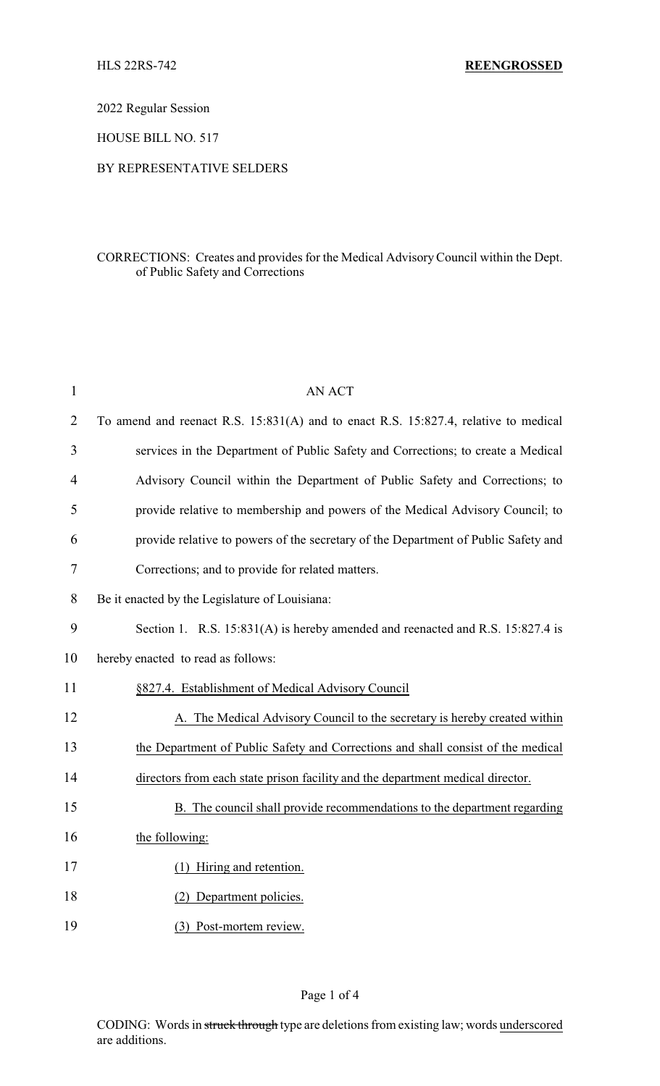2022 Regular Session

HOUSE BILL NO. 517

#### BY REPRESENTATIVE SELDERS

## CORRECTIONS: Creates and provides for the Medical AdvisoryCouncil within the Dept. of Public Safety and Corrections

| $\mathbf{1}$   | <b>AN ACT</b>                                                                       |
|----------------|-------------------------------------------------------------------------------------|
| $\overline{2}$ | To amend and reenact R.S. 15:831(A) and to enact R.S. 15:827.4, relative to medical |
| 3              | services in the Department of Public Safety and Corrections; to create a Medical    |
| $\overline{4}$ | Advisory Council within the Department of Public Safety and Corrections; to         |
| 5              | provide relative to membership and powers of the Medical Advisory Council; to       |
| 6              | provide relative to powers of the secretary of the Department of Public Safety and  |
| 7              | Corrections; and to provide for related matters.                                    |
| 8              | Be it enacted by the Legislature of Louisiana:                                      |
| 9              | Section 1. R.S. 15:831(A) is hereby amended and reenacted and R.S. 15:827.4 is      |
| 10             | hereby enacted to read as follows:                                                  |
| 11             | §827.4. Establishment of Medical Advisory Council                                   |
| 12             | A. The Medical Advisory Council to the secretary is hereby created within           |
| 13             | the Department of Public Safety and Corrections and shall consist of the medical    |
| 14             | directors from each state prison facility and the department medical director.      |
| 15             | B. The council shall provide recommendations to the department regarding            |
| 16             | the following:                                                                      |
| 17             | (1) Hiring and retention.                                                           |
| 18             | (2) Department policies.                                                            |
| 19             | (3) Post-mortem review.                                                             |

## Page 1 of 4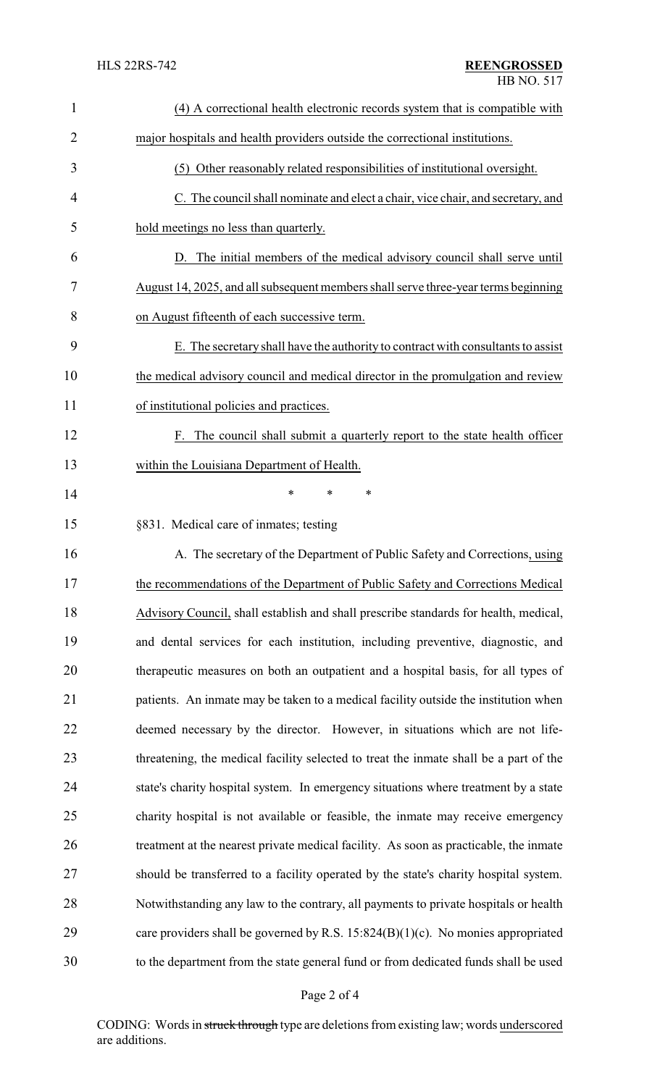| $\mathbf{1}$ | (4) A correctional health electronic records system that is compatible with           |  |
|--------------|---------------------------------------------------------------------------------------|--|
| 2            | major hospitals and health providers outside the correctional institutions.           |  |
| 3            | (5) Other reasonably related responsibilities of institutional oversight.             |  |
| 4            | C. The council shall nominate and elect a chair, vice chair, and secretary, and       |  |
| 5            | hold meetings no less than quarterly.                                                 |  |
| 6            | D. The initial members of the medical advisory council shall serve until              |  |
| 7            | August 14, 2025, and all subsequent members shall serve three-year terms beginning    |  |
| 8            | on August fifteenth of each successive term.                                          |  |
| 9            | E. The secretary shall have the authority to contract with consultants to assist      |  |
| 10           | the medical advisory council and medical director in the promulgation and review      |  |
| 11           | of institutional policies and practices.                                              |  |
| 12           | F. The council shall submit a quarterly report to the state health officer            |  |
| 13           | within the Louisiana Department of Health.                                            |  |
| 14           | *<br>*<br>∗                                                                           |  |
| 15           | §831. Medical care of inmates; testing                                                |  |
| 16           | A. The secretary of the Department of Public Safety and Corrections, using            |  |
| 17           | the recommendations of the Department of Public Safety and Corrections Medical        |  |
| 18           | Advisory Council, shall establish and shall prescribe standards for health, medical,  |  |
| 19           | and dental services for each institution, including preventive, diagnostic, and       |  |
| 20           | therapeutic measures on both an outpatient and a hospital basis, for all types of     |  |
| 21           | patients. An inmate may be taken to a medical facility outside the institution when   |  |
| 22           | deemed necessary by the director. However, in situations which are not life-          |  |
| 23           | threatening, the medical facility selected to treat the inmate shall be a part of the |  |
| 24           | state's charity hospital system. In emergency situations where treatment by a state   |  |
| 25           | charity hospital is not available or feasible, the inmate may receive emergency       |  |
| 26           | treatment at the nearest private medical facility. As soon as practicable, the inmate |  |
| 27           | should be transferred to a facility operated by the state's charity hospital system.  |  |
| 28           | Notwithstanding any law to the contrary, all payments to private hospitals or health  |  |
| 29           | care providers shall be governed by R.S. $15:824(B)(1)(c)$ . No monies appropriated   |  |
| 30           | to the department from the state general fund or from dedicated funds shall be used   |  |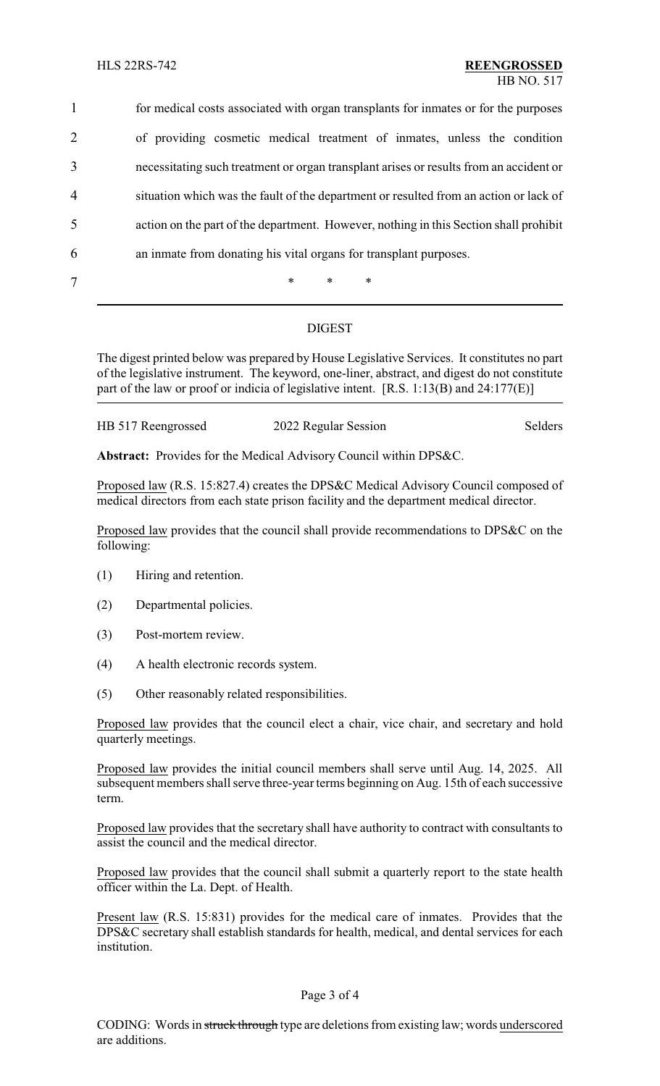for medical costs associated with organ transplants for inmates or for the purposes of providing cosmetic medical treatment of inmates, unless the condition necessitating such treatment or organ transplant arises or results from an accident or situation which was the fault of the department or resulted from an action or lack of action on the part of the department. However, nothing in this Section shall prohibit an inmate from donating his vital organs for transplant purposes. 7 \* \* \*

# DIGEST

The digest printed below was prepared by House Legislative Services. It constitutes no part of the legislative instrument. The keyword, one-liner, abstract, and digest do not constitute part of the law or proof or indicia of legislative intent. [R.S. 1:13(B) and 24:177(E)]

| HB 517 Reengrossed | 2022 Regular Session | Selders |
|--------------------|----------------------|---------|
|                    |                      |         |

**Abstract:** Provides for the Medical Advisory Council within DPS&C.

Proposed law (R.S. 15:827.4) creates the DPS&C Medical Advisory Council composed of medical directors from each state prison facility and the department medical director.

Proposed law provides that the council shall provide recommendations to DPS&C on the following:

- (1) Hiring and retention.
- (2) Departmental policies.
- (3) Post-mortem review.
- (4) A health electronic records system.
- (5) Other reasonably related responsibilities.

Proposed law provides that the council elect a chair, vice chair, and secretary and hold quarterly meetings.

Proposed law provides the initial council members shall serve until Aug. 14, 2025. All subsequent members shall serve three-year terms beginning on Aug. 15th of each successive term.

Proposed law provides that the secretary shall have authority to contract with consultants to assist the council and the medical director.

Proposed law provides that the council shall submit a quarterly report to the state health officer within the La. Dept. of Health.

Present law (R.S. 15:831) provides for the medical care of inmates. Provides that the DPS&C secretary shall establish standards for health, medical, and dental services for each institution.

#### Page 3 of 4